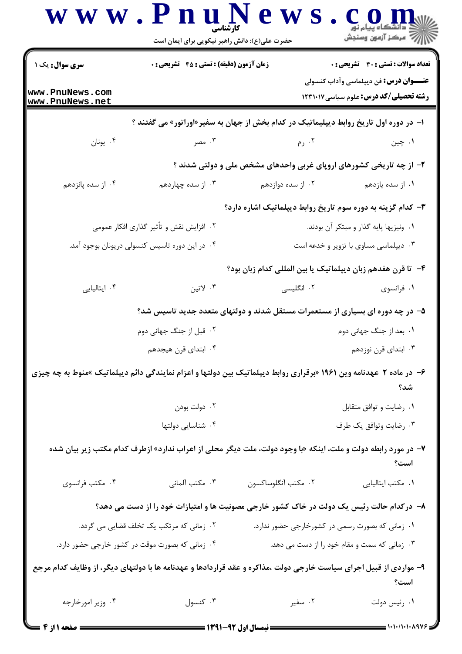|                                    | حضرت علی(ع): دانش راهبر نیکویی برای ایمان است    |                                                                                                                    |                                                                                               |
|------------------------------------|--------------------------------------------------|--------------------------------------------------------------------------------------------------------------------|-----------------------------------------------------------------------------------------------|
| سری سوال: یک ۱۔                    | <b>زمان آزمون (دقیقه) : تستی : 45 تشریحی : 0</b> |                                                                                                                    | <b>تعداد سوالات : تستی : 30 ٪ تشریحی : 0</b>                                                  |
| www.PnuNews.com<br>www.PnuNews.net |                                                  |                                                                                                                    | <b>عنـــوان درس:</b> فن دیپلماسی وآداب کنسولی<br><b>رشته تحصیلی/کد درس:</b> علوم سیاسی1۲۳۱۰۱۷ |
|                                    |                                                  | ا- در دوره اول تاریخ روابط دیپلیماتیک در کدام بخش از جهان به سفیر«اوراتور» می گفتند ؟                              |                                                                                               |
| ۰۴ يونان                           | . هصر $\cdot$ ۳                                  | ۲. رم                                                                                                              | ۰۱ چين                                                                                        |
|                                    |                                                  | ۲- از چه تاریخی کشورهای اروپای غربی واحدهای مشخص ملی و دولتی شدند ؟                                                |                                                                                               |
| ۰۴ از سده پانزدهم                  | ۰۳ از سده چهاردهم                                | ۰۲ از سده دوازدهم                                                                                                  | ۰۱ از سده یازدهم                                                                              |
|                                    |                                                  | <b>۳</b> - کدام گزینه به دوره سوم تاریخ روابط دیپلماتیک اشاره دارد؟                                                |                                                                                               |
|                                    | ۰۲ افزایش نقش و تأثیر گذاری افکار عمومی          |                                                                                                                    | ۰۱ ونیزیها پایه گذار و مبتکر آن بودند.                                                        |
|                                    | ۰۴ در این دوره تاسیس کنسولی دریونان بوجود آمد.   |                                                                                                                    | ۰۳ دیپلماسی مساوی با تزویر و خدعه است                                                         |
|                                    |                                                  | ۴– تا قرن هفدهم زبان دیپلماتیک یا بین المللی کدام زبان بود؟                                                        |                                                                                               |
| ۰۴ ایتالیایی                       | ۰۳ لاتين                                         | ۰۲ انگلیسی                                                                                                         | ۰۱ فرانسوی                                                                                    |
|                                    |                                                  | ۵– در چه دوره ای بسیاری از مستعمرات مستقل شدند و دولتهای متعدد جدید تاسیس شد؟                                      |                                                                                               |
|                                    | ۰۲ قبل از جنگ جهانی دوم                          |                                                                                                                    | ۰۱ بعد از جنگ جهانی دوم                                                                       |
|                                    | ۰۴ ابتدای قرن هیجدهم                             |                                                                                                                    | ۰۳ ابتدای قرن نوزدهم                                                                          |
|                                    |                                                  | ۶- در ماده ۲ عهدنامه وین ۱۹۶۱ «برقراری روابط دیپلماتیک بین دولتها و اعزام نمایندگی دائم دیپلماتیک »منوط به چه چیزی | شد؟                                                                                           |
|                                    | ۰۲ دولت بودن                                     |                                                                                                                    | ۰۱ رضایت و توافق متقابل                                                                       |
|                                    | ۰۴ شناسایی دولتها                                |                                                                                                                    | ۰۳ رضایت وتوافق یک طرف                                                                        |
|                                    |                                                  | ۷- در مورد رابطه دولت و ملت، اینکه «با وجود دولت، ملت دیگر محلی از اعراب ندارد» ازطرف کدام مکتب زیر بیان شده       | است؟                                                                                          |
| ۰۴ مكتب فرانسوي                    | ۰۳ مکتب آلمانی                                   | ۰۲ مكتب أنگلوساكسون                                                                                                | ٠١ مكتب ايتاليايي                                                                             |
|                                    |                                                  | ۸– درکدام حالت رئیس یک دولت در خاک کشور خارجی مصونیت ها و امتیازات خود را از دست می دهد؟                           |                                                                                               |
|                                    | ۰۲ زمانی که مرتکب یک تخلف قضایی می گردد.         | ۰۱ زمانی که بصورت رسمی در کشورخارجی حضور ندارد.                                                                    |                                                                                               |
|                                    | ۰۴ زمانی که بصورت موقت در کشور خارجی حضور دارد.  | ۰۳ زمانی که سمت و مقام خود را از دست می دهد.                                                                       |                                                                                               |
|                                    |                                                  | ۹- مواردی از قبیل اجرای سیاست خارجی دولت ،مذاکره و عقد قراردادها و عهدنامه ها با دولتهای دیگر، از وظایف کدام مرجع  | است؟                                                                                          |
| ۰۴ وزیر امورخارجه                  | ۰۳ کنسول                                         | ۰۲ سفیر                                                                                                            | ٠١ رئيس دولت                                                                                  |

= صفحه ۱ از ۴ ـــا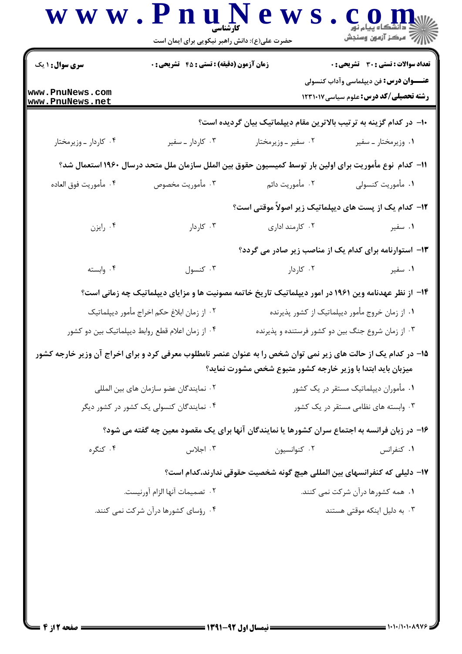|                                                  | حضرت علی(ع): دانش راهبر نیکویی برای ایمان است                                                                  |                                                                          |                                                                                                |
|--------------------------------------------------|----------------------------------------------------------------------------------------------------------------|--------------------------------------------------------------------------|------------------------------------------------------------------------------------------------|
| <b>سری سوال : ۱ یک</b>                           | زمان آزمون (دقیقه) : تستی : 45 آتشریحی : 0                                                                     |                                                                          | <b>تعداد سوالات : تستی : 30 - تشریحی : 0</b>                                                   |
| www.PnuNews.com<br>www.PnuNews.net               |                                                                                                                |                                                                          | <b>عنــــوان درس:</b> فن دیپلماسی وآداب کنسولی<br><b>رشته تحصیلی/کد درس:</b> علوم سیاسی۱۲۳۱۰۱۷ |
|                                                  |                                                                                                                | ∙ا− در کدام گزینه به ترتیب بالاترین مقام دیپلماتیک بیان گردیده است؟      |                                                                                                |
| ۰۴ کاردار ـ وزیرمختار                            | ۰۳ کاردار ـ سفير                                                                                               | ۰۲ سفیر ـ وزیرمختار                                                      | ۰۱ وزیرمختار ـ سفیر                                                                            |
|                                                  | 11– كدام  نوع مأموريت براي اولين بار توسط كميسيون حقوق بين الملل سازمان ملل متحد درسال ١٩۶٠ استعمال شد؟        |                                                                          |                                                                                                |
| ۰۴ مأموريت فوق العاده                            | ۰۳ مأموريت مخصوص                                                                                               | ۰۲ مأموريت دائم                                                          | ۰۱ مأموريت كنسولى                                                                              |
|                                                  |                                                                                                                | <b>۱۲</b> - کدام یک از پست های دیپلماتیک زیر اصولاً موقتی است؟           |                                                                                                |
| ۰۴ رايزن                                         | ۰۳ کاردار                                                                                                      | ۰۲ کارمند اداری                                                          | ۰۱ سفیر                                                                                        |
|                                                  |                                                                                                                | ۱۳- استوارنامه برای کدام یک از مناصب زیر صادر می گردد؟                   |                                                                                                |
| ۰۴ وابسته                                        | ۰۳ کنسول                                                                                                       | ۰۲ کاردار                                                                | ۰۱ سفیر                                                                                        |
|                                                  | ۱۴- از نظر عهدنامه وین ۱۹۶۱ در امور دیپلماتیک تاریخ خاتمه مصونیت ها و مزایای دیپلماتیک چه زمانی است؟           |                                                                          |                                                                                                |
| ۰۲ از زمان ابلاغ حکم اخراج مأمور ديپلماتيک       |                                                                                                                | ۰۱ از زمان خروج مأمور دیپلماتیک از کشور پذیرنده                          |                                                                                                |
| ۰۴ از زمان اعلام قطع روابط دیپلماتیک بین دو کشور |                                                                                                                | ۰۳ از زمان شروع جنگ بین دو کشور فرستنده و پذیرنده                        |                                                                                                |
|                                                  | ۱۵– در کدام یک از حالت های زیر نمی توان شخص را به عنوان عنصر نامطلوب معرفی کرد و برای اخراج آن وزیر خارجه کشور | میزبان باید ابتدا با وزیر خارجه کشور متبوع شخص مشورت نماید؟              |                                                                                                |
| ۰۲ نمایندگان عضو سازمان های بین المللی           |                                                                                                                | ۰۱ مأموران ديپلماتيک مستقر در يک کشور                                    |                                                                                                |
| ۰۴ نمایندگان کنسولی یک کشور در کشور دیگر         |                                                                                                                | ۰۳ وابسته های نظامی مستقر در یک کشور                                     |                                                                                                |
|                                                  | ۱۶- در زبان فرانسه به اجتماع سران کشورها یا نمایندگان آنها برای یک مقصود معین چه گفته می شود؟                  |                                                                          |                                                                                                |
| ۰۴ کنگره                                         | ۰۳ اجلاس                                                                                                       | ۰۲ کنوانسیون                                                             | ۰۱ کنفرانس                                                                                     |
|                                                  |                                                                                                                | ۱۷– دلیلی که کنفرانسهای بین المللی هیچ گونه شخصیت حقوقی ندارند،کدام است؟ |                                                                                                |
| ٠٢ تصميمات آنها الزام آورنيست.                   |                                                                                                                | ۰۱ همه کشورها درآن شرکت نمی کنند.                                        |                                                                                                |
|                                                  | ۰۴ رؤسای کشورها درآن شرکت نمی کنند.                                                                            |                                                                          | ۰۳ به دلیل اینکه موقتی هستند                                                                   |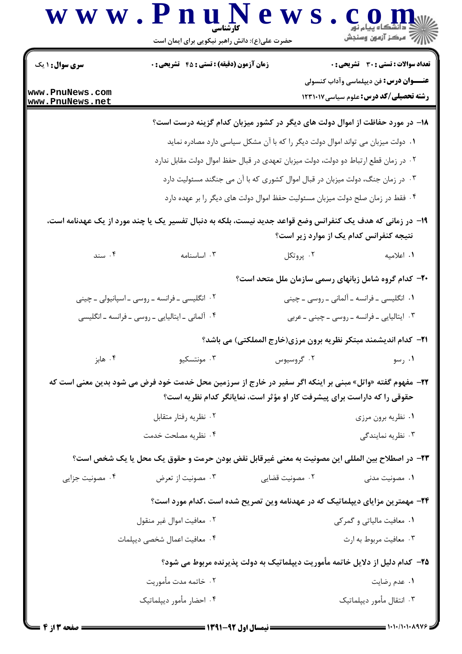|                                    | www.PnuNews<br>حضرت علی(ع): دانش راهبر نیکویی برای ایمان است                                                    |                 | ڪ دانشڪاه پيام نور<br>  77 مرکز آزمون وسنڊش                                            |
|------------------------------------|-----------------------------------------------------------------------------------------------------------------|-----------------|----------------------------------------------------------------------------------------|
| <b>سری سوال : ۱ یک</b>             | زمان آزمون (دقیقه) : تستی : 45 آتشریحی : 0                                                                      |                 | تعداد سوالات : تستي : 30 - تشريحي : 0<br><b>عنـــوان درس:</b> فن دیپلماسی وآداب کنسولی |
| www.PnuNews.com<br>www.PnuNews.net |                                                                                                                 |                 | <b>رشته تحصیلی/کد درس:</b> علوم سیاسی1۲۳۱۰۱۷                                           |
|                                    |                                                                                                                 |                 | ۱۸– در مورد حفاظت از اموال دولت های دیگر در کشور میزبان کدام گزینه درست است؟           |
|                                    |                                                                                                                 |                 | ۰۱ دولت میزبان می تواند اموال دولت دیگر را که با آن مشکل سیاسی دارد مصادره نماید       |
|                                    |                                                                                                                 |                 | ۰۲ در زمان قطع ارتباط دو دولت، دولت میزبان تعهدی در قبال حفظ اموال دولت مقابل ندارد    |
|                                    |                                                                                                                 |                 | ۰۳ در زمان جنگ، دولت میزبان در قبال اموال کشوری که با آن می جنگند مسئولیت دارد         |
|                                    |                                                                                                                 |                 | ۰۴ فقط در زمان صلح دولت میزبان مسئولیت حفظ اموال دولت های دیگر را بر عهده دارد         |
|                                    | ۱۹- در زمانی که هدف یک کنفرانس وضع قواعد جدید نیست، بلکه به دنبال تفسیر یک یا چند مورد از یک عهدنامه است،       |                 | نتیجه کنفرانس کدام یک از موارد زیر است؟                                                |
| ۰۴ سند                             | ۰۳ اساسنامه                                                                                                     | ۰۲ پروتکل       | ۰۱ اعلامیه                                                                             |
|                                    |                                                                                                                 |                 | -۲- کدام گروه شامل زبانهای رسمی سازمان ملل متحد است؟                                   |
|                                    | ۰۲ انگلیسی ـ فرانسه ـ روسی ـ اسپانیولی ـ چینی                                                                   |                 | ۰۱ انگلیسی ـ فرانسه ـ آلمانی ـ روسی ـ چینی                                             |
|                                    | ۰۴ آلمانی ـ ایتالیایی ـ روسی ـ فرانسه ـ انگلیسی                                                                 |                 | ۰۳ ایتالیایی ـ فرانسه ـ روسی ـ چینی ـ عربی                                             |
|                                    |                                                                                                                 |                 | <b>۲۱</b> - کدام اندیشمند مبتکر نظریه برون مرزی(خارج المملکتی) می باشد؟                |
| ۰۴ هابز                            | ۰۳ مونتسکیو                                                                                                     | ۰۲ گروسیوس      | ۰۱ رسو                                                                                 |
|                                    | <b>۲۲</b> – مفهوم گفته «واتل» مبنی بر اینکه اگر سفیر در خارج از سرزمین محل خدمت خود فرض می شود بدین معنی است که |                 | حقوقی را که داراست برای پیشرفت کار او مؤثر است، نمایانگر کدام نظریه است؟               |
|                                    | ۰۲ نظریه رفتار متقابل                                                                                           |                 | ۰۱ نظریه برون مرزی                                                                     |
|                                    | ۰۴ نظریه مصلحت خدمت                                                                                             |                 | ۰۳ نظریه نمایندگی                                                                      |
|                                    | ٢٣- در اصطلاح بين المللي اين مصونيت به معنى غيرقابل نقض بودن حرمت و حقوق يک محل يا يک شخص است؟                  |                 |                                                                                        |
| ۰۴ مصونیت جزایی                    | ۰۳ مصونیت از تعرض                                                                                               | ۰۲ مصونیت قضایی | ۰۱ مصونیت مدنی                                                                         |
|                                    |                                                                                                                 |                 | ۲۴- مهمترین مزایای دیپلماتیک که در عهدنامه وین تصریح شده است ،کدام مورد است؟           |
|                                    | ۰۲ معافيت اموال غير منقول                                                                                       |                 | ۰۱ معافیت مالیاتی و گمرکی                                                              |
|                                    | ۰۴ معافیت اعمال شخصی دیپلمات                                                                                    |                 | ۰۳ معافيت مربوط به ارث                                                                 |
|                                    |                                                                                                                 |                 | ۲۵– کدام دلیل از دلایل خاتمه مأموریت دیپلماتیک به دولت پذیرنده مربوط می شود؟           |
|                                    | ۰۲ خاتمه مدت مأموريت                                                                                            |                 | ۰۱ عدم رضایت                                                                           |
|                                    | ۰۴ احضار مأمور ديپلماتيک                                                                                        |                 | ۰۳ انتقال مأمور ديپلماتيک                                                              |